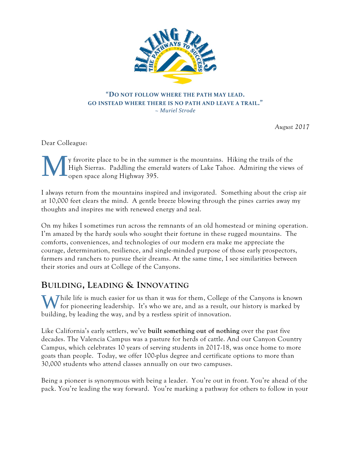

#### **"DO NOT FOLLOW WHERE THE PATH MAY LEAD. GO INSTEAD WHERE THERE IS NO PATH AND LEAVE A TRAIL."** *~ Muriel Strode*

*August 2017* 

Dear Colleague:

y favorite place to be in the summer is the mountains. Hiking the trails of the High Sierras. Paddling the emerald waters of Lake Tahoe. Admiring the views of open space along Highway 395. M

I always return from the mountains inspired and invigorated. Something about the crisp air at 10,000 feet clears the mind. A gentle breeze blowing through the pines carries away my thoughts and inspires me with renewed energy and zeal.

On my hikes I sometimes run across the remnants of an old homestead or mining operation. I'm amazed by the hardy souls who sought their fortune in these rugged mountains. The comforts, conveniences, and technologies of our modern era make me appreciate the courage, determination, resilience, and single-minded purpose of those early prospectors, farmers and ranchers to pursue their dreams. At the same time, I see similarities between their stories and ours at College of the Canyons.

## **BUILDING, LEADING & INNOVATING**

While life is much easier for us than it was for them, College of the Canyons is known for pioneering leadership. It's who we are, and as a result, our history is marked by for pioneering leadership. It's who we are, and as a result, our history is marked by building, by leading the way, and by a restless spirit of innovation.

Like California's early settlers, we've **built something out of nothing** over the past five decades. The Valencia Campus was a pasture for herds of cattle. And our Canyon Country Campus, which celebrates 10 years of serving students in 2017-18, was once home to more goats than people. Today, we offer 100-plus degree and certificate options to more than 30,000 students who attend classes annually on our two campuses.

Being a pioneer is synonymous with being a leader. You're out in front. You're ahead of the pack. You're leading the way forward. You're marking a pathway for others to follow in your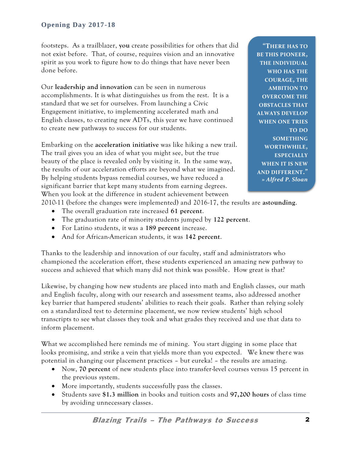footsteps. As a trailblazer, **you** create possibilities for others that did not exist before. That, of course, requires vision and an innovative spirit as you work to figure how to do things that have never been done before.

Our **leadership and innovation** can be seen in numerous accomplishments. It is what distinguishes us from the rest. It is a standard that we set for ourselves. From launching a Civic Engagement initiative, to implementing accelerated math and English classes, to creating new ADTs, this year we have continued to create new pathways to success for our students.

Embarking on the **acceleration initiative** was like hiking a new trail. The trail gives you an idea of what you might see, but the true beauty of the place is revealed only by visiting it. In the same way, the results of our acceleration efforts are beyond what we imagined. By helping students bypass remedial courses, we have reduced a significant barrier that kept many students from earning degrees. When you look at the difference in student achievement between

**"THERE HAS TO BE THIS PIONEER, THE INDIVIDUAL WHO HAS THE COURAGE, THE AMBITION TO OVERCOME THE OBSTACLES THAT ALWAYS DEVELOP WHEN ONE TRIES TO DO SOMETHING WORTHWHILE, ESPECIALLY WHEN IT IS NEW AND DIFFERENT."** *» Alfred P. Sloan*

2010-11 (before the changes were implemented) and 2016-17, the results are **astounding**.

- The overall graduation rate increased **61 percent**.
- The graduation rate of minority students jumped by **122 percent**.
- For Latino students, it was a **189 percent** increase.
- And for African-American students, it was **142 percent**.

Thanks to the leadership and innovation of our faculty, staff and administrators who championed the acceleration effort, these students experienced an amazing new pathway to success and achieved that which many did not think was possible. How great is that?

Likewise, by changing how new students are placed into math and English classes, our math and English faculty, along with our research and assessment teams, also addressed another key barrier that hampered students' abilities to reach their goals. Rather than relying solely on a standardized test to determine placement, we now review students' high school transcripts to see what classes they took and what grades they received and use that data to inform placement.

What we accomplished here reminds me of mining. You start digging in some place that looks promising, and strike a vein that yields more than you expected. We knew there was potential in changing our placement practices – but eureka! – the results are amazing.

- Now, **70 percent** of new students place into transfer-level courses versus 15 percent in the previous system.
- More importantly, students successfully pass the classes.
- Students save **\$1.3 million** in books and tuition costs and **97,200 hours** of class time by avoiding unnecessary classes.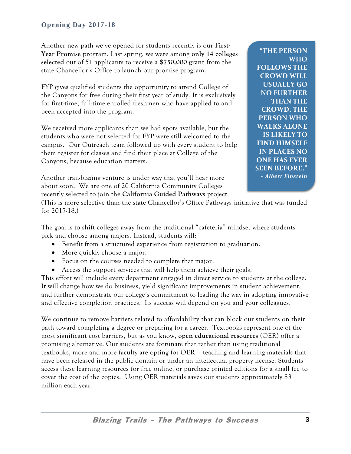Another new path we've opened for students recently is our **First-Year Promise** program. Last spring, we were among **only 14 colleges selected** out of 51 applicants to receive a **\$750,000 grant** from the state Chancellor's Office to launch our promise program.

FYP gives qualified students the opportunity to attend College of the Canyons for free during their first year of study. It is exclusively for first-time, full-time enrolled freshmen who have applied to and been accepted into the program.

We received more applicants than we had spots available, but the students who were not selected for FYP were still welcomed to the campus. Our Outreach team followed up with every student to help them register for classes and find their place at College of the Canyons, because education matters.

Another trail-blazing venture is under way that you'll hear more about soon. We are one of 20 California Community Colleges recently selected to join the **California Guided Pathways** project.

**"THE PERSON WHO FOLLOWS THE CROWD WILL USUALLY GO NO FURTHER THAN THE CROWD. THE PERSON WHO WALKS ALONE IS LIKELY TO FIND HIMSELF IN PLACES NO ONE HAS EVER SEEN BEFORE."** *» Albert Einstein*

(This is more selective than the state Chancellor's Office Pathways initiative that was funded for 2017-18.)

The goal is to shift colleges away from the traditional "cafeteria" mindset where students pick and choose among majors. Instead, students will:

- Benefit from a structured experience from registration to graduation.
- More quickly choose a major.
- Focus on the courses needed to complete that major.
- Access the support services that will help them achieve their goals.

This effort will include every department engaged in direct service to students at the college. It will change how we do business, yield significant improvements in student achievement, and further demonstrate our college's commitment to leading the way in adopting innovative and effective completion practices. Its success will depend on you and your colleagues.

We continue to remove barriers related to affordability that can block our students on their path toward completing a degree or preparing for a career. Textbooks represent one of the most significant cost barriers, but as you know, **open educational resources** (OER) offer a promising alternative. Our students are fortunate that rather than using traditional textbooks, more and more faculty are opting for OER – teaching and learning materials that have been released in the public domain or under an intellectual property license. Students access these learning resources for free online, or purchase printed editions for a small fee to cover the cost of the copies. Using OER materials saves our students approximately \$3 million each year.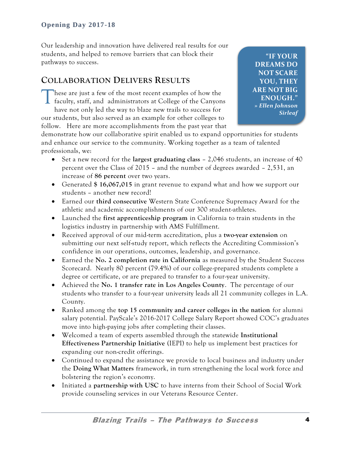Our leadership and innovation have delivered real results for our students, and helped to remove barriers that can block their pathways to success.

## **COLLABORATION DELIVERS RESULTS**

hese are just a few of the most recent examples of how the faculty, staff, and administrators at College of the Canyons have not only led the way to blaze new trails to success for our students, but also served as an example for other colleges to follow. Here are more accomplishments from the past year that T

**"IF YOUR DREAMS DO NOT SCARE YOU, THEY ARE NOT BIG ENOUGH."** *» Ellen Johnson Sirleaf*

demonstrate how our collaborative spirit enabled us to expand opportunities for students and enhance our service to the community. Working together as a team of talented professionals, we:

- Set a new record for the **largest graduating class** 2,046 students, an increase of 40 percent over the Class of 2015 – and the number of degrees awarded – 2,531, an increase of **86 percent** over two years.
- Generated **\$ 16,067,015** in grant revenue to expand what and how we support our students – another new record!
- Earned our **third consecutive** Western State Conference Supremacy Award for the athletic and academic accomplishments of our 300 student-athletes.
- Launched the **first apprenticeship program** in California to train students in the logistics industry in partnership with AMS Fulfillment.
- Received approval of our mid-term accreditation, plus a **two-year extension** on submitting our next self-study report, which reflects the Accrediting Commission's confidence in our operations, outcomes, leadership, and governance.
- Earned the **No. 2 completion rate in California** as measured by the Student Success Scorecard. Nearly 80 percent (79.4%) of our college-prepared students complete a degree or certificate, or are prepared to transfer to a four-year university.
- Achieved the **No. 1 transfer rate in Los Angeles County**. The percentage of our students who transfer to a four-year university leads all 21 community colleges in L.A. County.
- Ranked among the **top 15 community and career colleges in the nation** for alumni salary potential. PayScale's 2016-2017 College Salary Report showed COC's graduates move into high-paying jobs after completing their classes.
- Welcomed a team of experts assembled through the statewide **Institutional Effectiveness Partnership Initiative** (IEPI) to help us implement best practices for expanding our non-credit offerings.
- Continued to expand the assistance we provide to local business and industry under the **Doing What Matters** framework, in turn strengthening the local work force and bolstering the region's economy.
- Initiated a **partnership with USC** to have interns from their School of Social Work provide counseling services in our Veterans Resource Center.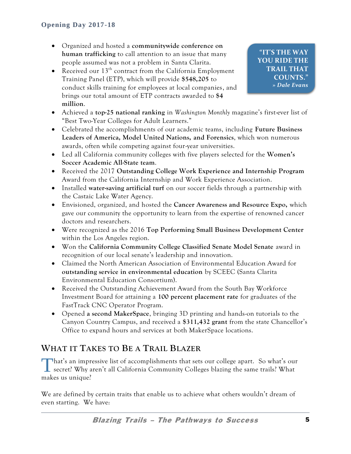- Organized and hosted a **communitywide conference on human trafficking** to call attention to an issue that many people assumed was not a problem in Santa Clarita.
- Received our  $13<sup>th</sup>$  contract from the California Employment Training Panel (ETP), which will provide **\$548,205** to conduct skills training for employees at local companies, and brings our total amount of ETP contracts awarded to **\$4 million**.
- Achieved a **top-25 national ranking** in *Washington Monthly* magazine's first-ever list of "Best Two-Year Colleges for Adult Learners."
- Celebrated the accomplishments of our academic teams, including **Future Business Leaders of America, Model United Nations, and Forensics**, which won numerous awards, often while competing against four-year universities.
- Led all California community colleges with five players selected for the **Women's Soccer Academic All-State team**.
- Received the 2017 **Outstanding College Work Experience and Internship Program** Award from the California Internship and Work Experience Association.
- Installed **water-saving artificial turf** on our soccer fields through a partnership with the Castaic Lake Water Agency.
- Envisioned, organized, and hosted the **Cancer Awareness and Resource Expo,** which gave our community the opportunity to learn from the expertise of renowned cancer doctors and researchers.
- Were recognized as the 2016 **Top Performing Small Business Development Center** within the Los Angeles region.
- Won the **California Community College Classified Senate Model Senate** award in recognition of our local senate's leadership and innovation.
- Claimed the North American Association of Environmental Education Award for **outstanding service in environmental education** by SCEEC (Santa Clarita Environmental Education Consortium).
- Received the Outstanding Achievement Award from the South Bay Workforce Investment Board for attaining a **100 percent placement rate** for graduates of the FastTrack CNC Operator Program.
- Opened **a second MakerSpace**, bringing 3D printing and hands-on tutorials to the Canyon Country Campus, and received a **\$311,432 grant** from the state Chancellor's Office to expand hours and services at both MakerSpace locations.

# **WHAT IT TAKES TO BE A TRAIL BLAZER**

That's an impressive list of accomplishments that sets our college apart. So what's our secret? Why aren't all California Community Colleges blazing the same trails? What secret? Why aren't all California Community Colleges blazing the same trails? What makes us unique?

We are defined by certain traits that enable us to achieve what others wouldn't dream of even starting. We have: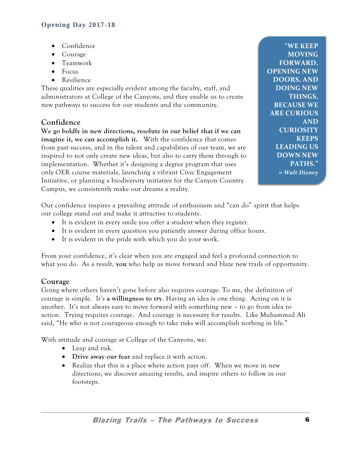- Confidence
- Courage
- Teamwork
- $\bullet$  Focus
- Resilience

These qualities are especially evident among the faculty, staff, and administrators at College of the Canyons, and they enable us to create new pathways to success for our students and the community.

## **Confidence**

**We go boldly in new directions, resolute in our belief that if we can imagine it, we can accomplish it.** With the confidence that comes from past success, and in the talent and capabilities of our team, we are inspired to not only create new ideas, but also to carry them through to implementation. Whether it's designing a degree program that uses only OER course materials, launching a vibrant Civic Engagement Initiative, or planning a biodiversity initiative for the Canyon Country Campus, we consistently make our dreams a reality.

**"WE KEEP MOVING FORWARD, OPENING NEW DOORS, AND DOING NEW THINGS, BECAUSE WE ARE CURIOUS AND CURIOSITY KEEPS LEADING US DOWN NEW PATHS." »** *Walt Disney*

Our confidence inspires a prevailing attitude of enthusiasm and "can do" spirit that helps our college stand out and make it attractive to students.

- It is evident in every smile you offer a student when they register.
- It is evident in every question you patiently answer during office hours.
- It is evident in the pride with which you do your work.

From your confidence, it's clear when you are engaged and feel a profound connection to what you do. As a result, **you** who help us move forward and blaze new trails of opportunity.

## **Courage**

Going where others haven't gone before also requires courage. To me, the definition of courage is simple. It's **a willingness to try**. Having an idea is one thing. Acting on it is another. It's not always easy to move forward with something new – to go from idea to action. Trying requires courage. And courage is necessary for results. Like Muhammad Ali said, "He who is not courageous enough to take risks will accomplish nothing in life."

With attitude and courage at College of the Canyons, we:

- Leap and risk.
- **Drive away our fear** and replace it with action.
- Realize that this is a place where action pays off. When we move in new directions, we discover amazing results, and inspire others to follow in our footsteps.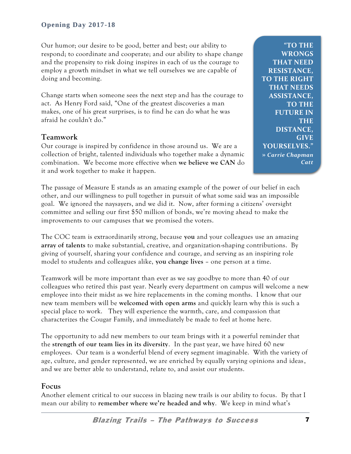Our humor; our desire to be good, better and best; our ability to respond; to coordinate and cooperate; and our ability to shape change and the propensity to risk doing inspires in each of us the courage to employ a growth mindset in what we tell ourselves we are capable of doing and becoming.

Change starts when someone sees the next step and has the courage to act. As Henry Ford said, "One of the greatest discoveries a man makes, one of his great surprises, is to find he can do what he was afraid he couldn't do."

## **Teamwork**

Our courage is inspired by confidence in those around us. We are a collection of bright, talented individuals who together make a dynamic combination. We become more effective when **we believe we CAN** do it and work together to make it happen.

**"TO THE WRONGS THAT NEED RESISTANCE, TO THE RIGHT THAT NEEDS ASSISTANCE, TO THE FUTURE IN THE DISTANCE, GIVE YOURSELVES." »** *Carrie Chapman Catt*

The passage of Measure E stands as an amazing example of the power of our belief in each other, and our willingness to pull together in pursuit of what some said was an impossible goal. We ignored the naysayers, and we did it. Now, after forming a citizens' oversight committee and selling our first \$50 million of bonds, we're moving ahead to make the improvements to our campuses that we promised the voters.

The COC team is extraordinarily strong, because **you** and your colleagues use an amazing **array of talents** to make substantial, creative, and organization-shaping contributions. By giving of yourself, sharing your confidence and courage, and serving as an inspiring role model to students and colleagues alike, **you change lives** – one person at a time.

Teamwork will be more important than ever as we say goodbye to more than 40 of our colleagues who retired this past year. Nearly every department on campus will welcome a new employee into their midst as we hire replacements in the coming months. I know that our new team members will be **welcomed with open arms** and quickly learn why this is such a special place to work. They will experience the warmth, care, and compassion that characterizes the Cougar Family, and immediately be made to feel at home here.

The opportunity to add new members to our team brings with it a powerful reminder that the **strength of our team lies in its diversity**. In the past year, we have hired 60 new employees. Our team is a wonderful blend of every segment imaginable. With the variety of age, culture, and gender represented, we are enriched by equally varying opinions and ideas, and we are better able to understand, relate to, and assist our students.

#### **Focus**

Another element critical to our success in blazing new trails is our ability to focus. By that I mean our ability to **remember where we're headed and why**. We keep in mind what's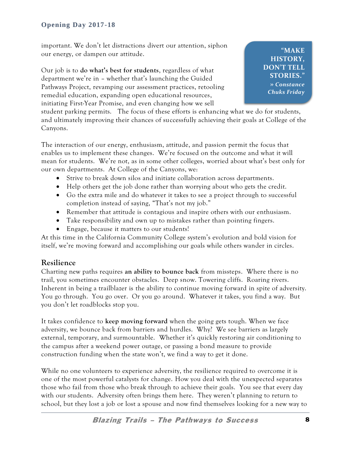important. We don't let distractions divert our attention, siphon our energy, or dampen our attitude.

Our job is to **do what's best for students**, regardless of what department we're in – whether that's launching the Guided Pathways Project, revamping our assessment practices, retooling remedial education, expanding open educational resources, initiating First-Year Promise, and even changing how we sell

**"MAKE HISTORY, DON'T TELL STORIES." »** *Constance Chuks Friday*

student parking permits. The focus of these efforts is enhancing what we do for students, and ultimately improving their chances of successfully achieving their goals at College of the Canyons.

The interaction of our energy, enthusiasm, attitude, and passion permit the focus that enables us to implement these changes. We're focused on the outcome and what it will mean for students. We're not, as in some other colleges, worried about what's best only for our own departments. At College of the Canyons, we:

- Strive to break down silos and initiate collaboration across departments.
- Help others get the job done rather than worrying about who gets the credit.
- Go the extra mile and do whatever it takes to see a project through to successful completion instead of saying, "That's not my job."
- Remember that attitude is contagious and inspire others with our enthusiasm.
- Take responsibility and own up to mistakes rather than pointing fingers.
- Engage, because it matters to our students!

At this time in the California Community College system's evolution and bold vision for itself, we're moving forward and accomplishing our goals while others wander in circles.

## **Resilience**

Charting new paths requires **an ability to bounce back** from missteps. Where there is no trail, you sometimes encounter obstacles. Deep snow. Towering cliffs. Roaring rivers. Inherent in being a trailblazer is the ability to continue moving forward in spite of adversity. You go through. You go over. Or you go around. Whatever it takes, you find a way. But you don't let roadblocks stop you.

It takes confidence to **keep moving forward** when the going gets tough. When we face adversity, we bounce back from barriers and hurdles. Why? We see barriers as largely external, temporary, and surmountable. Whether it's quickly restoring air conditioning to the campus after a weekend power outage, or passing a bond measure to provide construction funding when the state won't, we find a way to get it done.

While no one volunteers to experience adversity, the resilience required to overcome it is one of the most powerful catalysts for change. How you deal with the unexpected separates those who fail from those who break through to achieve their goals. You see that every day with our students. Adversity often brings them here. They weren't planning to return to school, but they lost a job or lost a spouse and now find themselves looking for a new way to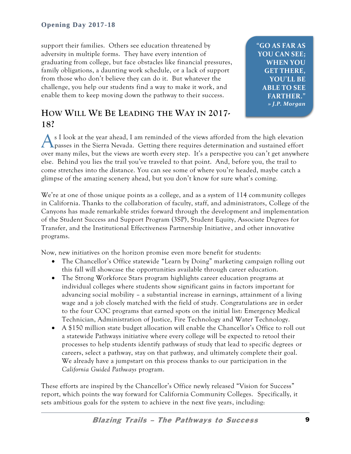support their families. Others see education threatened by adversity in multiple forms. They have every intention of graduating from college, but face obstacles like financial pressures, family obligations, a daunting work schedule, or a lack of support from those who don't believe they can do it. But whatever the challenge, you help our students find a way to make it work, and enable them to keep moving down the pathway to their success.

**"GO AS FAR AS YOU CAN SEE; WHEN YOU GET THERE, YOU'LL BE ABLE TO SEE FARTHER."** *» J.P. Morgan*

# **HOW WILL WE BE LEADING THE WAY IN 2017- 18?**

As I look at the year ahead, I am reminded of the views afforded from the high elevation passes in the Sierra Nevada. Getting there requires determination and sustained effort  $\bigcap$  passes in the Sierra Nevada. Getting there requires determination and sustained effort over many miles, but the views are worth every step. It's a perspective you can't get anywhere else. Behind you lies the trail you've traveled to that point. And, before you, the trail to come stretches into the distance. You can see some of where you're headed, maybe catch a glimpse of the amazing scenery ahead, but you don't know for sure what's coming.

We're at one of those unique points as a college, and as a system of 114 community colleges in California. Thanks to the collaboration of faculty, staff, and administrators, College of the Canyons has made remarkable strides forward through the development and implementation of the Student Success and Support Program (3SP), Student Equity, Associate Degrees for Transfer, and the Institutional Effectiveness Partnership Initiative, and other innovative programs.

Now, new initiatives on the horizon promise even more benefit for students:

- The Chancellor's Office statewide "Learn by Doing" marketing campaign rolling out this fall will showcase the opportunities available through career education.
- The Strong Workforce Stars program highlights career education programs at individual colleges where students show significant gains in factors important for advancing social mobility – a substantial increase in earnings, attainment of a living wage and a job closely matched with the field of study. Congratulations are in order to the four COC programs that earned spots on the initial list: Emergency Medical Technician, Administration of Justice, Fire Technology and Water Technology.
- A \$150 million state budget allocation will enable the Chancellor's Office to roll out a statewide Pathways initiative where every college will be expected to retool their processes to help students identify pathways of study that lead to specific degrees or careers, select a pathway, stay on that pathway, and ultimately complete their goal. We already have a jumpstart on this process thanks to our participation in the *California Guided Pathways* program.

These efforts are inspired by the Chancellor's Office newly released "Vision for Success" report, which points the way forward for California Community Colleges. Specifically, it sets ambitious goals for the system to achieve in the next five years, including: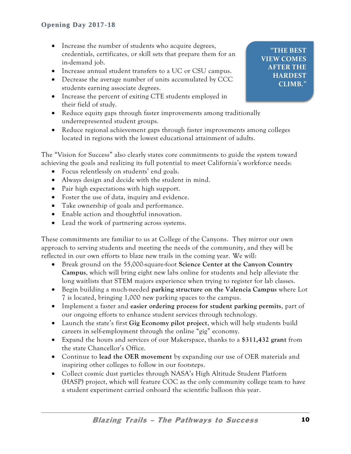- Increase the number of students who acquire degrees, credentials, certificates, or skill sets that prepare them for an in-demand job.
- Increase annual student transfers to a UC or CSU campus.
- Decrease the average number of units accumulated by CCC students earning associate degrees.
- Increase the percent of exiting CTE students employed in their field of study.
- Reduce equity gaps through faster improvements among traditionally underrepresented student groups.
- Reduce regional achievement gaps through faster improvements among colleges located in regions with the lowest educational attainment of adults.

The "Vision for Success" also clearly states core commitments to guide the system toward achieving the goals and realizing its full potential to meet California's workforce needs:

- Focus relentlessly on students' end goals.
- Always design and decide with the student in mind.
- Pair high expectations with high support.
- Foster the use of data, inquiry and evidence.
- Take ownership of goals and performance.
- Enable action and thoughtful innovation.
- Lead the work of partnering across systems.

These commitments are familiar to us at College of the Canyons. They mirror our own approach to serving students and meeting the needs of the community, and they will be reflected in our own efforts to blaze new trails in the coming year. We will:

- Break ground on the 55,000-square-foot **Science Center at the Canyon Country Campus**, which will bring eight new labs online for students and help alleviate the long waitlists that STEM majors experience when trying to register for lab classes.
- Begin building a much-needed **parking structure on the Valencia Campus** where Lot 7 is located, bringing 1,000 new parking spaces to the campus.
- Implement a faster and **easier ordering process for student parking permits**, part of our ongoing efforts to enhance student services through technology.
- Launch the state's first **Gig Economy pilot project**, which will help students build careers in self-employment through the online "gig" economy.
- Expand the hours and services of our Makerspace, thanks to a **\$311,432 grant** from the state Chancellor's Office.
- Continue to **lead the OER movement** by expanding our use of OER materials and inspiring other colleges to follow in our footsteps.
- Collect cosmic dust particles through NASA's High Altitude Student Platform (HASP) project, which will feature COC as the only community college team to have a student experiment carried onboard the scientific balloon this year.

**"THE BEST VIEW COMES AFTER THE HARDEST CLIMB."**